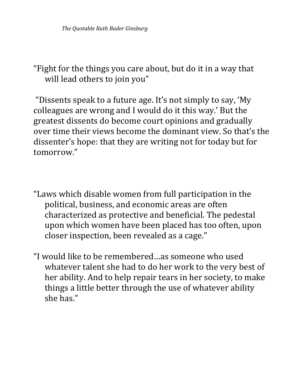"Fight for the things you care about, but do it in a way that will lead others to join you"

"Dissents speak to a future age. It's not simply to say, 'My colleagues are wrong and I would do it this way.' But the greatest dissents do become court opinions and gradually over time their views become the dominant view. So that's the dissenter's hope: that they are writing not for today but for tomorrow." 

- "Laws which disable women from full participation in the political, business, and economic areas are often characterized as protective and beneficial. The pedestal upon which women have been placed has too often, upon closer inspection, been revealed as a cage."
- "I would like to be remembered ...as someone who used whatever talent she had to do her work to the very best of her ability. And to help repair tears in her society, to make things a little better through the use of whatever ability she has."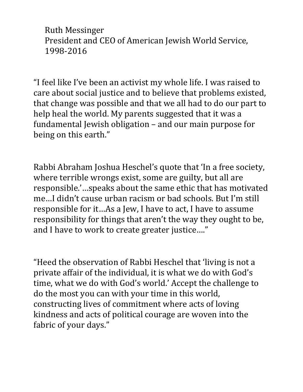Ruth Messinger President and CEO of American Jewish World Service, 1998-2016

"I feel like I've been an activist my whole life. I was raised to care about social justice and to believe that problems existed, that change was possible and that we all had to do our part to help heal the world. My parents suggested that it was a fundamental Jewish obligation - and our main purpose for being on this earth."

Rabbi Abraham Joshua Heschel's quote that 'In a free society, where terrible wrongs exist, some are guilty, but all are responsible.'...speaks about the same ethic that has motivated me...I didn't cause urban racism or bad schools. But I'm still responsible for it...As a Jew, I have to act, I have to assume responsibility for things that aren't the way they ought to be, and I have to work to create greater justice...."

"Heed the observation of Rabbi Heschel that 'living is not a private affair of the individual, it is what we do with God's time, what we do with God's world.' Accept the challenge to do the most you can with your time in this world, constructing lives of commitment where acts of loving kindness and acts of political courage are woven into the fabric of your days."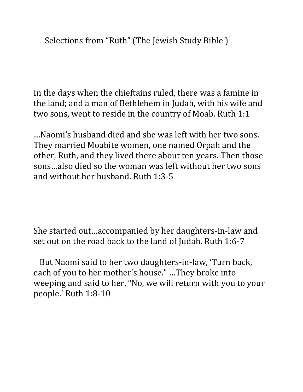Selections from "Ruth" (The Jewish Study Bible)

In the days when the chieftains ruled, there was a famine in the land; and a man of Bethlehem in Judah, with his wife and two sons, went to reside in the country of Moab. Ruth 1:1

...Naomi's husband died and she was left with her two sons. They married Moabite women, one named Orpah and the other, Ruth, and they lived there about ten years. Then those sons…also died so the woman was left without her two sons and without her husband. Ruth 1:3-5

She started out...accompanied by her daughters-in-law and set out on the road back to the land of Judah. Ruth 1:6-7

But Naomi said to her two daughters-in-law, 'Turn back, each of you to her mother's house." ...They broke into weeping and said to her, "No, we will return with you to your people.' Ruth 1:8-10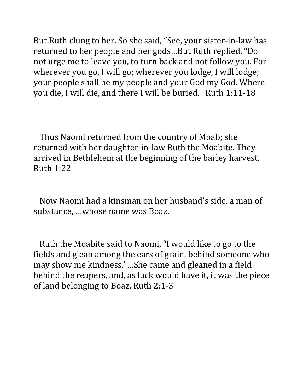But Ruth clung to her. So she said, "See, your sister-in-law has returned to her people and her gods...But Ruth replied, "Do not urge me to leave you, to turn back and not follow you. For wherever you go, I will go; wherever you lodge, I will lodge; your people shall be my people and your God my God. Where you die, I will die, and there I will be buried. Ruth 1:11-18

Thus Naomi returned from the country of Moab; she returned with her daughter-in-law Ruth the Moabite. They arrived in Bethlehem at the beginning of the barley harvest. Ruth 1:22 

Now Naomi had a kinsman on her husband's side, a man of substance, ...whose name was Boaz.

Ruth the Moabite said to Naomi, "I would like to go to the fields and glean among the ears of grain, behind someone who may show me kindness."...She came and gleaned in a field behind the reapers, and, as luck would have it, it was the piece of land belonging to Boaz. Ruth 2:1-3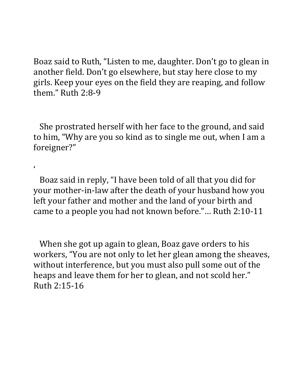Boaz said to Ruth, "Listen to me, daughter. Don't go to glean in another field. Don't go elsewhere, but stay here close to my girls. Keep your eyes on the field they are reaping, and follow them." Ruth 2:8-9

She prostrated herself with her face to the ground, and said to him, "Why are you so kind as to single me out, when I am a foreigner?" 

Boaz said in reply, "I have been told of all that you did for your mother-in-law after the death of your husband how you left your father and mother and the land of your birth and came to a people you had not known before."... Ruth 2:10-11

'

When she got up again to glean, Boaz gave orders to his workers, "You are not only to let her glean among the sheaves, without interference, but you must also pull some out of the heaps and leave them for her to glean, and not scold her." Ruth 2:15-16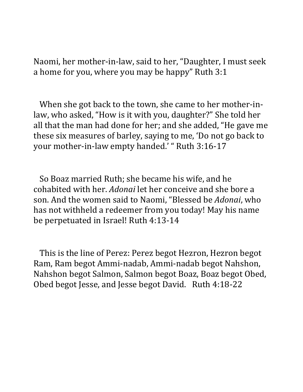Naomi, her mother-in-law, said to her, "Daughter, I must seek a home for you, where you may be happy" Ruth 3:1

When she got back to the town, she came to her mother-inlaw, who asked, "How is it with you, daughter?" She told her all that the man had done for her; and she added, "He gave me these six measures of barley, saying to me, 'Do not go back to your mother-in-law empty handed.' " Ruth 3:16-17

So Boaz married Ruth; she became his wife, and he cohabited with her. *Adonai* let her conceive and she bore a son. And the women said to Naomi, "Blessed be *Adonai*, who has not withheld a redeemer from you today! May his name be perpetuated in Israel! Ruth 4:13-14

This is the line of Perez: Perez begot Hezron, Hezron begot Ram, Ram begot Ammi-nadab, Ammi-nadab begot Nahshon, Nahshon begot Salmon, Salmon begot Boaz, Boaz begot Obed, Obed begot Jesse, and Jesse begot David. Ruth 4:18-22